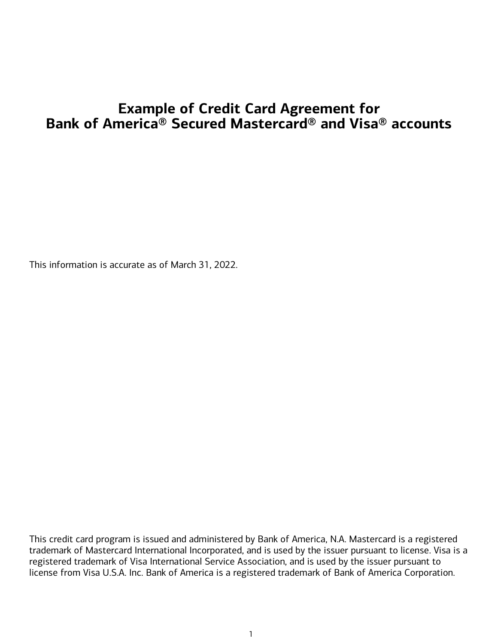# **Example of Credit Card Agreement for Bank of America® Secured Mastercard® and Visa® accounts**

This information is accurate as of March 31, 2022.

This credit card program is issued and administered by Bank of America, N.A. Mastercard is a registered trademark of Mastercard International Incorporated, and is used by the issuer pursuant to license. Visa is a registered trademark of Visa International Service Association, and is used by the issuer pursuant to license from Visa U.S.A. Inc. Bank of America is a registered trademark of Bank of America Corporation.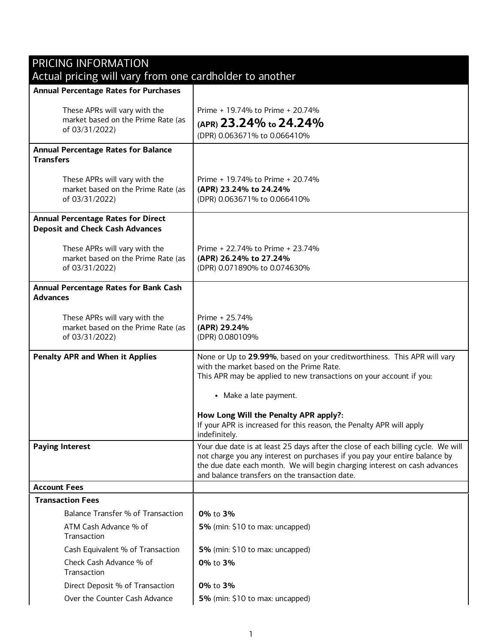| <b>PRICING INFORMATION</b>                                                            |                                                                                                                                                                                                                                                                                               |
|---------------------------------------------------------------------------------------|-----------------------------------------------------------------------------------------------------------------------------------------------------------------------------------------------------------------------------------------------------------------------------------------------|
| Actual pricing will vary from one cardholder to another                               |                                                                                                                                                                                                                                                                                               |
| <b>Annual Percentage Rates for Purchases</b>                                          |                                                                                                                                                                                                                                                                                               |
| These APRs will vary with the<br>market based on the Prime Rate (as<br>of 03/31/2022) | Prime + 19.74% to Prime + 20.74%<br>(APR) 23.24% to 24.24%<br>(DPR) 0.063671% to 0.066410%                                                                                                                                                                                                    |
|                                                                                       |                                                                                                                                                                                                                                                                                               |
| <b>Annual Percentage Rates for Balance</b><br><b>Transfers</b>                        |                                                                                                                                                                                                                                                                                               |
| These APRs will vary with the<br>market based on the Prime Rate (as<br>of 03/31/2022) | Prime + 19.74% to Prime + 20.74%<br>(APR) 23.24% to 24.24%<br>(DPR) 0.063671% to 0.066410%                                                                                                                                                                                                    |
| <b>Annual Percentage Rates for Direct</b><br><b>Deposit and Check Cash Advances</b>   |                                                                                                                                                                                                                                                                                               |
| These APRs will vary with the<br>market based on the Prime Rate (as<br>of 03/31/2022) | Prime + 22.74% to Prime + 23.74%<br>(APR) 26.24% to 27.24%<br>(DPR) 0.071890% to 0.074630%                                                                                                                                                                                                    |
| <b>Annual Percentage Rates for Bank Cash</b><br><b>Advances</b>                       |                                                                                                                                                                                                                                                                                               |
| These APRs will vary with the<br>market based on the Prime Rate (as<br>of 03/31/2022) | Prime + 25.74%<br>(APR) 29.24%<br>(DPR) 0.080109%                                                                                                                                                                                                                                             |
| <b>Penalty APR and When it Applies</b>                                                | None or Up to 29.99%, based on your creditworthiness. This APR will vary<br>with the market based on the Prime Rate.<br>This APR may be applied to new transactions on your account if you:<br>• Make a late payment.<br>How Long Will the Penalty APR apply?:                                |
|                                                                                       | If your APR is increased for this reason, the Penalty APR will apply<br>indefinitely.                                                                                                                                                                                                         |
| <b>Paying Interest</b>                                                                | Your due date is at least 25 days after the close of each billing cycle. We will<br>not charge you any interest on purchases if you pay your entire balance by<br>the due date each month. We will begin charging interest on cash advances<br>and balance transfers on the transaction date. |
| <b>Account Fees</b>                                                                   |                                                                                                                                                                                                                                                                                               |
| <b>Transaction Fees</b>                                                               |                                                                                                                                                                                                                                                                                               |
| Balance Transfer % of Transaction                                                     | 0% to 3%                                                                                                                                                                                                                                                                                      |
| ATM Cash Advance % of<br>Transaction                                                  | 5% (min: \$10 to max: uncapped)                                                                                                                                                                                                                                                               |
| Cash Equivalent % of Transaction                                                      | 5% (min: \$10 to max: uncapped)                                                                                                                                                                                                                                                               |
| Check Cash Advance % of<br>Transaction                                                | 0% to 3%                                                                                                                                                                                                                                                                                      |
| Direct Deposit % of Transaction                                                       | 0% to 3%                                                                                                                                                                                                                                                                                      |
| Over the Counter Cash Advance                                                         | 5% (min: \$10 to max: uncapped)                                                                                                                                                                                                                                                               |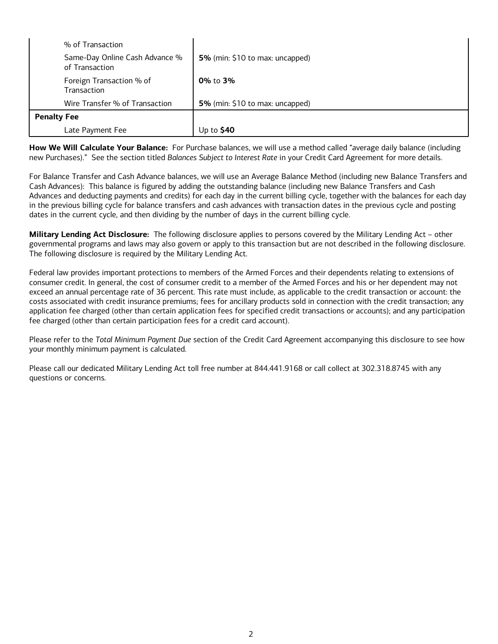| % of Transaction                                 |                                 |
|--------------------------------------------------|---------------------------------|
| Same-Day Online Cash Advance %<br>of Transaction | 5% (min: \$10 to max: uncapped) |
| Foreign Transaction % of<br>Transaction          | 0% to 3%                        |
| Wire Transfer % of Transaction                   | 5% (min: \$10 to max: uncapped) |
| <b>Penalty Fee</b>                               |                                 |
| Late Payment Fee                                 | Up to $$40$                     |

**How We Will Calculate Your Balance:** For Purchase balances, we will use a method called "average daily balance (including new Purchases)." See the section titled *Balances Subject to Interest Rate* in your Credit Card Agreement for more details.

For Balance Transfer and Cash Advance balances, we will use an Average Balance Method (including new Balance Transfers and Cash Advances): This balance is figured by adding the outstanding balance (including new Balance Transfers and Cash Advances and deducting payments and credits) for each day in the current billing cycle, together with the balances for each day in the previous billing cycle for balance transfers and cash advances with transaction dates in the previous cycle and posting dates in the current cycle, and then dividing by the number of days in the current billing cycle.

**Military Lending Act Disclosure:** The following disclosure applies to persons covered by the Military Lending Act – other governmental programs and laws may also govern or apply to this transaction but are not described in the following disclosure. The following disclosure is required by the Military Lending Act.

Federal law provides important protections to members of the Armed Forces and their dependents relating to extensions of consumer credit. In general, the cost of consumer credit to a member of the Armed Forces and his or her dependent may not exceed an annual percentage rate of 36 percent. This rate must include, as applicable to the credit transaction or account: the costs associated with credit insurance premiums; fees for ancillary products sold in connection with the credit transaction; any application fee charged (other than certain application fees for specified credit transactions or accounts); and any participation fee charged (other than certain participation fees for a credit card account).

Please refer to the *Total Minimum Payment Due* section of the Credit Card Agreement accompanying this disclosure to see how your monthly minimum payment is calculated.

Please call our dedicated Military Lending Act toll free number at 844.441.9168 or call collect at 302.318.8745 with any questions or concerns.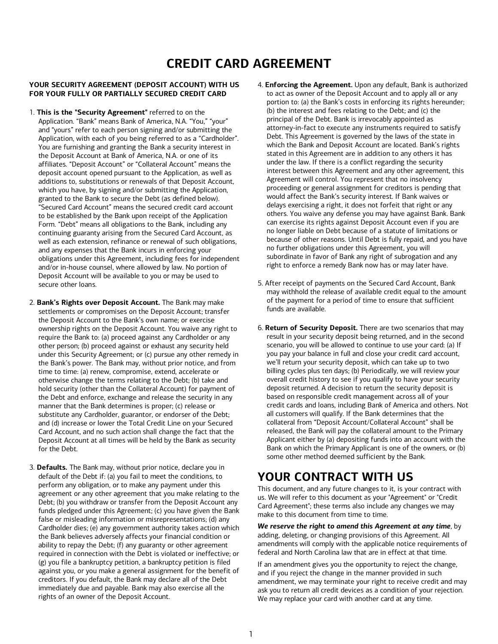# **CREDIT CARD AGREEMENT**

## **YOUR SECURITY AGREEMENT (DEPOSIT ACCOUNT) WITH US FOR YOUR FULLY OR PARTIALLY SECURED CREDIT CARD**

- 1. **This is the "Security Agreement"** referred to on the Application. "Bank" means Bank of America, N.A. "You," "your" and "yours" refer to each person signing and/or submitting the Application, with each of you being referred to as a "Cardholder". You are furnishing and granting the Bank a security interest in the Deposit Account at Bank of America, N.A. or one of its affiliates. "Deposit Account" or "Collateral Account" means the deposit account opened pursuant to the Application, as well as additions to, substitutions or renewals of that Deposit Account, which you have, by signing and/or submitting the Application, granted to the Bank to secure the Debt (as defined below). "Secured Card Account" means the secured credit card account to be established by the Bank upon receipt of the Application Form. "Debt" means all obligations to the Bank, including any continuing guaranty arising from the Secured Card Account, as well as each extension, refinance or renewal of such obligations, and any expenses that the Bank incurs in enforcing your obligations under this Agreement, including fees for independent and/or in-house counsel, where allowed by law. No portion of Deposit Account will be available to you or may be used to secure other loans.
- 2. **Bank's Rights over Deposit Account.** The Bank may make settlements or compromises on the Deposit Account; transfer the Deposit Account to the Bank's own name; or exercise ownership rights on the Deposit Account. You waive any right to require the Bank to: (a) proceed against any Cardholder or any other person; (b) proceed against or exhaust any security held under this Security Agreement; or (c) pursue any other remedy in the Bank's power. The Bank may, without prior notice, and from time to time: (a) renew, compromise, extend, accelerate or otherwise change the terms relating to the Debt; (b) take and hold security (other than the Collateral Account) for payment of the Debt and enforce, exchange and release the security in any manner that the Bank determines is proper; (c) release or substitute any Cardholder, guarantor, or endorser of the Debt; and (d) increase or lower the Total Credit Line on your Secured Card Account, and no such action shall change the fact that the Deposit Account at all times will be held by the Bank as security for the Debt.
- 3. **Defaults.** The Bank may, without prior notice, declare you in default of the Debt if: (a) you fail to meet the conditions, to perform any obligation, or to make any payment under this agreement or any other agreement that you make relating to the Debt; (b) you withdraw or transfer from the Deposit Account any funds pledged under this Agreement; (c) you have given the Bank false or misleading information or misrepresentations; (d) any Cardholder dies; (e) any government authority takes action which the Bank believes adversely affects your financial condition or ability to repay the Debt; (f) any guaranty or other agreement required in connection with the Debt is violated or ineffective; or (g) you file a bankruptcy petition, a bankruptcy petition is filed against you, or you make a general assignment for the benefit of creditors. If you default, the Bank may declare all of the Debt immediately due and payable. Bank may also exercise all the rights of an owner of the Deposit Account.
- 4. **Enforcing the Agreement.** Upon any default, Bank is authorized to act as owner of the Deposit Account and to apply all or any portion to: (a) the Bank's costs in enforcing its rights hereunder; (b) the interest and fees relating to the Debt; and (c) the principal of the Debt. Bank is irrevocably appointed as attorney-in-fact to execute any instruments required to satisfy Debt. This Agreement is governed by the laws of the state in which the Bank and Deposit Account are located. Bank's rights stated in this Agreement are in addition to any others it has under the law. If there is a conflict regarding the security interest between this Agreement and any other agreement, this Agreement will control. You represent that no insolvency proceeding or general assignment for creditors is pending that would affect the Bank's security interest. If Bank waives or delays exercising a right, it does not forfeit that right or any others. You waive any defense you may have against Bank. Bank can exercise its rights against Deposit Account even if you are no longer liable on Debt because of a statute of limitations or because of other reasons. Until Debt is fully repaid, and you have no further obligations under this Agreement, you will subordinate in favor of Bank any right of subrogation and any right to enforce a remedy Bank now has or may later have.
- 5. After receipt of payments on the Secured Card Account, Bank may withhold the release of available credit equal to the amount of the payment for a period of time to ensure that sufficient funds are available.
- 6. **Return of Security Deposit.** There are two scenarios that may result in your security deposit being returned, and in the second scenario, you will be allowed to continue to use your card: (a) If you pay your balance in full and close your credit card account, we'll return your security deposit, which can take up to two billing cycles plus ten days; (b) Periodically, we will review your overall credit history to see if you qualify to have your security deposit returned. A decision to return the security deposit is based on responsible credit management across all of your credit cards and loans, including Bank of America and others. Not all customers will qualify. If the Bank determines that the collateral from "Deposit Account/Collateral Account" shall be released, the Bank will pay the collateral amount to the Primary Applicant either by (a) depositing funds into an account with the Bank on which the Primary Applicant is one of the owners, or (b) some other method deemed sufficient by the Bank.

## **YOUR CONTRACT WITH US**

This document, and any future changes to it, is your contract with us. We will refer to this document as your "Agreement" or "Credit Card Agreement"; these terms also include any changes we may make to this document from time to time.

*We reserve the right to amend this Agreement at any time*, by adding, deleting, or changing provisions of this Agreement. All amendments will comply with the applicable notice requirements of federal and North Carolina law that are in effect at that time.

If an amendment gives you the opportunity to reject the change, and if you reject the change in the manner provided in such amendment, we may terminate your right to receive credit and may ask you to return all credit devices as a condition of your rejection. We may replace your card with another card at any time.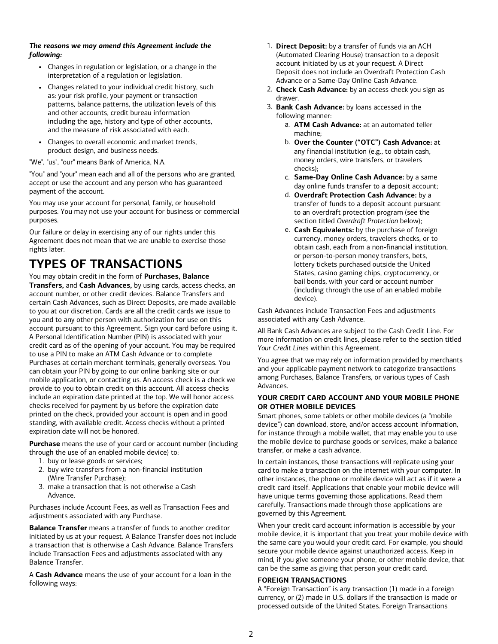## *The reasons we may amend this Agreement include the following:*

- **•** Changes in regulation or legislation, or a change in the interpretation of a regulation or legislation.
- **•** Changes related to your individual credit history, such as: your risk profile, your payment or transaction patterns, balance patterns, the utilization levels of this and other accounts, credit bureau information including the age, history and type of other accounts, and the measure of risk associated with each.
- **•** Changes to overall economic and market trends, product design, and business needs.

"We", "us", "our" means Bank of America, N.A.

"You" and "your" mean each and all of the persons who are granted, accept or use the account and any person who has guaranteed payment of the account.

You may use your account for personal, family, or household purposes. You may not use your account for business or commercial purposes.

Our failure or delay in exercising any of our rights under this Agreement does not mean that we are unable to exercise those rights later.

# **TYPES OF TRANSACTIONS**

You may obtain credit in the form of **Purchases, Balance Transfers,** and **Cash Advances,** by using cards, access checks, an account number, or other credit devices. Balance Transfers and certain Cash Advances, such as Direct Deposits, are made available to you at our discretion. Cards are all the credit cards we issue to you and to any other person with authorization for use on this account pursuant to this Agreement. Sign your card before using it. A Personal Identification Number (PIN) is associated with your credit card as of the opening of your account. You may be required to use a PIN to make an ATM Cash Advance or to complete Purchases at certain merchant terminals, generally overseas. You can obtain your PIN by going to our online banking site or our mobile application, or contacting us. An access check is a check we provide to you to obtain credit on this account. All access checks include an expiration date printed at the top. We will honor access checks received for payment by us before the expiration date printed on the check, provided your account is open and in good standing, with available credit. Access checks without a printed expiration date will not be honored.

**Purchase** means the use of your card or account number (including through the use of an enabled mobile device) to:

- 1. buy or lease goods or services;
- 2. buy wire transfers from a non-financial institution (Wire Transfer Purchase);
- 3. make <sup>a</sup> transaction that is not otherwise <sup>a</sup> Cash Advance.

Purchases include Account Fees, as well as Transaction Fees and adjustments associated with any Purchase.

**Balance Transfer** means a transfer of funds to another creditor initiated by us at your request. A Balance Transfer does not include a transaction that is otherwise a Cash Advance. Balance Transfers include Transaction Fees and adjustments associated with any Balance Transfer.

A **Cash Advance** means the use of your account for a loan in the following ways:

- 1. **Direct Deposit:** by a transfer of funds via an ACH (Automated Clearing House) transaction to <sup>a</sup> deposit account initiated by us at your request. <sup>A</sup> Direct Deposit does not include an Overdraft Protection Cash Advance or <sup>a</sup> Same-Day Online Cash Advance.
- 2. **Check Cash Advance:** by an access check you sign as drawer.
- 3. **Bank Cash Advance:** by loans accessed in the following manner:
	- a. **ATM Cash Advance:** at an automated teller machine;
	- b. **Over the Counter ("OTC") Cash Advance:** at any financial institution (e.g., to obtain cash, money orders, wire transfers, or travelers checks);
	- c. **Same-Day Online Cash Advance:** by <sup>a</sup> same day online funds transfer to <sup>a</sup> deposit account;
	- d. **Overdraft Protection Cash Advance:** by a transfer of funds to a deposit account pursuant to an overdraft protection program (see the section titled *Overdraft Protection* below);
	- e. **Cash Equivalents:** by the purchase of foreign currency, money orders, travelers checks, or to obtain cash, each from <sup>a</sup> non-financial institution, or person-to-person money transfers, bets, lottery tickets purchased outside the United States, casino gaming chips, cryptocurrency, or bail bonds, with your card or account number (including through the use of an enabled mobile device).

Cash Advances include Transaction Fees and adjustments associated with any Cash Advance.

All Bank Cash Advances are subject to the Cash Credit Line. For more information on credit lines, please refer to the section titled *Your Credit Lines* within this Agreement.

You agree that we may rely on information provided by merchants and your applicable payment network to categorize transactions among Purchases, Balance Transfers, or various types of Cash Advances.

## **YOUR CREDIT CARD ACCOUNT AND YOUR MOBILE PHONE OR OTHER MOBILE DEVICES**

Smart phones, some tablets or other mobile devices (a "mobile device") can download, store, and/or access account information, for instance through a mobile wallet, that may enable you to use the mobile device to purchase goods or services, make a balance transfer, or make a cash advance.

In certain instances, those transactions will replicate using your card to make a transaction on the internet with your computer. In other instances, the phone or mobile device will act as if it were a credit card itself. Applications that enable your mobile device will have unique terms governing those applications. Read them carefully. Transactions made through those applications are governed by this Agreement.

When your credit card account information is accessible by your mobile device, it is important that you treat your mobile device with the same care you would your credit card. For example, you should secure your mobile device against unauthorized access. Keep in mind, if you give someone your phone, or other mobile device, that can be the same as giving that person your credit card.

## **FOREIGN TRANSACTIONS**

A "Foreign Transaction" is any transaction (1) made in a foreign currency, or (2) made in U.S. dollars if the transaction is made or processed outside of the United States. Foreign Transactions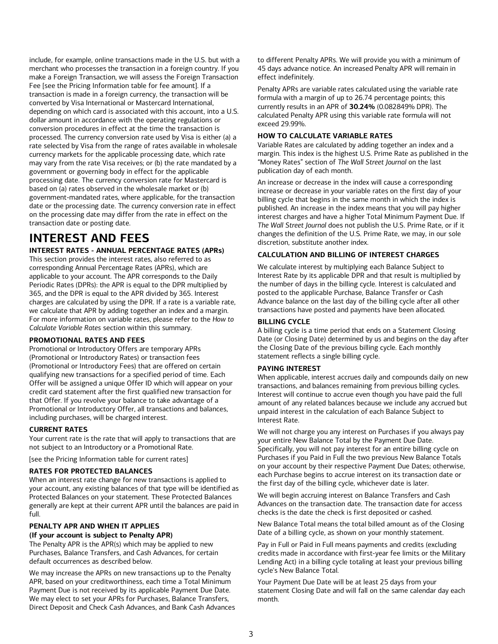include, for example, online transactions made in the U.S. but with a merchant who processes the transaction in a foreign country. If you make a Foreign Transaction, we will assess the Foreign Transaction Fee [see the Pricing Information table for fee amount]. If a transaction is made in a foreign currency, the transaction will be converted by Visa International or Mastercard International, depending on which card is associated with this account, into a U.S. dollar amount in accordance with the operating regulations or conversion procedures in effect at the time the transaction is processed. The currency conversion rate used by Visa is either (a) a rate selected by Visa from the range of rates available in wholesale currency markets for the applicable processing date, which rate may vary from the rate Visa receives; or (b) the rate mandated by a government or governing body in effect for the applicable processing date. The currency conversion rate for Mastercard is based on (a) rates observed in the wholesale market or (b) government-mandated rates, where applicable, for the transaction date or the processing date. The currency conversion rate in effect on the processing date may differ from the rate in effect on the transaction date or posting date.

# **INTEREST AND FEES**

## **INTEREST RATES -ANNUAL PERCENTAGE RATES (APRs)**

This section provides the interest rates, also referred to as corresponding Annual Percentage Rates (APRs), which are applicable to your account. The APR corresponds to the Daily Periodic Rates (DPRs): the APR is equal to the DPR multiplied by 365, and the DPR is equal to the APR divided by 365. Interest charges are calculated by using the DPR. If a rate is a variable rate, we calculate that APR by adding together an index and a margin. For more information on variable rates, please refer to the *How to Calculate Variable Rates* section within this summary.

#### **PROMOTIONAL RATES AND FEES**

Promotional or Introductory Offers are temporary APRs (Promotional or Introductory Rates) or transaction fees (Promotional or Introductory Fees) that are offered on certain qualifying new transactions for a specified period of time. Each Offer will be assigned a unique Offer ID which will appear on your credit card statement after the first qualified new transaction for that Offer. If you revolve your balance to take advantage of a Promotional or Introductory Offer, all transactions and balances, including purchases, will be charged interest.

#### **CURRENT RATES**

Your current rate is the rate that will apply to transactions that are not subject to an Introductory or a Promotional Rate.

[see the Pricing Information table for current rates]

#### **RATES FOR PROTECTED BALANCES**

When an interest rate change for new transactions is applied to your account, any existing balances of that type will be identified as Protected Balances on your statement. These Protected Balances generally are kept at their current APR until the balances are paid in full.

#### **PENALTY APR AND WHEN IT APPLIES (If your account is subject to Penalty APR)**

The Penalty APR is the APR(s) which may be applied to new Purchases, Balance Transfers, and Cash Advances, for certain default occurrences as described below.

We may increase the APRs on new transactions up to the Penalty APR, based on your creditworthiness, each time a Total Minimum Payment Due is not received by its applicable Payment Due Date. We may elect to set your APRs for Purchases, Balance Transfers, Direct Deposit and Check Cash Advances, and Bank Cash Advances to different Penalty APRs. We will provide you with a minimum of 45 days advance notice. An increased Penalty APR will remain in effect indefinitely.

Penalty APRs are variable rates calculated using the variable rate formula with a margin of up to 26.74 percentage points; this currently results in an APR of **30.24%** (0.082849% DPR). The calculated Penalty APR using this variable rate formula will not exceed 29.99%.

### **HOW TO CALCULATE VARIABLE RATES**

Variable Rates are calculated by adding together an index and a margin. This index is the highest U.S. Prime Rate as published in the "Money Rates" section of *The Wall Street Journal* on the last publication day of each month.

An increase or decrease in the index will cause a corresponding increase or decrease in your variable rates on the first day of your billing cycle that begins in the same month in which the index is published. An increase in the index means that you will pay higher interest charges and have a higher Total Minimum Payment Due. If *The Wall Street Journal* does not publish the U.S. Prime Rate, or if it changes the definition of the U.S. Prime Rate, we may, in our sole discretion, substitute another index.

#### **CALCULATION AND BILLING OF INTEREST CHARGES**

We calculate interest by multiplying each Balance Subject to Interest Rate by its applicable DPR and that result is multiplied by the number of days in the billing cycle. Interest is calculated and posted to the applicable Purchase, Balance Transfer or Cash Advance balance on the last day of the billing cycle after all other transactions have posted and payments have been allocated.

#### **BILLING CYCLE**

A billing cycle is a time period that ends on a Statement Closing Date (or Closing Date) determined by us and begins on the day after the Closing Date of the previous billing cycle. Each monthly statement reflects a single billing cycle.

#### **PAYING INTEREST**

When applicable, interest accrues daily and compounds daily on new transactions, and balances remaining from previous billing cycles. Interest will continue to accrue even though you have paid the full amount of any related balances because we include any accrued but unpaid interest in the calculation of each Balance Subject to Interest Rate.

We will not charge you any interest on Purchases if you always pay your entire New Balance Total by the Payment Due Date. Specifically, you will not pay interest for an entire billing cycle on Purchases if you Paid in Full the two previous New Balance Totals on your account by their respective Payment Due Dates; otherwise, each Purchase begins to accrue interest on its transaction date or the first day of the billing cycle, whichever date is later.

We will begin accruing interest on Balance Transfers and Cash Advances on the transaction date. The transaction date for access checks is the date the check is first deposited or cashed.

New Balance Total means the total billed amount as of the Closing Date of a billing cycle, as shown on your monthly statement.

Pay in Full or Paid in Full means payments and credits (excluding credits made in accordance with first-year fee limits or the Military Lending Act) in a billing cycle totaling at least your previous billing cycle's New Balance Total.

Your Payment Due Date will be at least 25 days from your statement Closing Date and will fall on the same calendar day each month.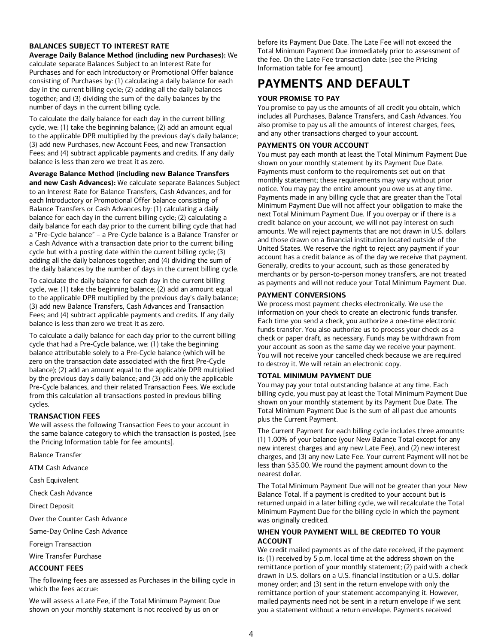## **BALANCES SUBJECT TO INTEREST RATE**

**Average Daily Balance Method (including new Purchases):** We calculate separate Balances Subject to an Interest Rate for Purchases and for each Introductory or Promotional Offer balance consisting of Purchases by: (1) calculating a daily balance for each day in the current billing cycle; (2) adding all the daily balances together; and (3) dividing the sum of the daily balances by the number of days in the current billing cycle.

To calculate the daily balance for each day in the current billing cycle, we: (1) take the beginning balance; (2) add an amount equal to the applicable DPR multiplied by the previous day's daily balance; (3) add new Purchases, new Account Fees, and new Transaction Fees; and (4) subtract applicable payments and credits. If any daily balance is less than zero we treat it as zero.

## **Average Balance Method (including new Balance Transfers**

**and new Cash Advances):** We calculate separate Balances Subject to an Interest Rate for Balance Transfers, Cash Advances, and for each Introductory or Promotional Offer balance consisting of Balance Transfers or Cash Advances by: (1) calculating a daily balance for each day in the current billing cycle; (2) calculating a daily balance for each day prior to the current billing cycle that had a "Pre-Cycle balance" – a Pre-Cycle balance is a Balance Transfer or a Cash Advance with a transaction date prior to the current billing cycle but with a posting date within the current billing cycle; (3) adding all the daily balances together; and (4) dividing the sum of the daily balances by the number of days in the current billing cycle.

To calculate the daily balance for each day in the current billing cycle, we: (1) take the beginning balance; (2) add an amount equal to the applicable DPR multiplied by the previous day's daily balance; (3) add new Balance Transfers, Cash Advances and Transaction Fees; and (4) subtract applicable payments and credits. If any daily balance is less than zero we treat it as zero.

To calculate a daily balance for each day prior to the current billing cycle that had a Pre-Cycle balance, we: (1) take the beginning balance attributable solely to a Pre-Cycle balance (which will be zero on the transaction date associated with the first Pre-Cycle balance); (2) add an amount equal to the applicable DPR multiplied by the previous day's daily balance; and (3) add only the applicable Pre-Cycle balances, and their related Transaction Fees. We exclude from this calculation all transactions posted in previous billing cycles.

## **TRANSACTION FEES**

We will assess the following Transaction Fees to your account in the same balance category to which the transaction is posted, [see the Pricing Information table for fee amounts].

Balance Transfer

ATM Cash Advance

Cash Equivalent

Check Cash Advance

Direct Deposit

Over the Counter Cash Advance

Same-Day Online Cash Advance

Foreign Transaction

Wire Transfer Purchase

## **ACCOUNT FEES**

The following fees are assessed as Purchases in the billing cycle in which the fees accrue:

We will assess a Late Fee, if the Total Minimum Payment Due shown on your monthly statement is not received by us on or

before its Payment Due Date. The Late Fee will not exceed the Total Minimum Payment Due immediately prior to assessment of the fee. On the Late Fee transaction date: [see the Pricing Information table for fee amount].

## **PAYMENTS AND DEFAULT**

## **YOUR PROMISE TO PAY**

You promise to pay us the amounts of all credit you obtain, which includes all Purchases, Balance Transfers, and Cash Advances. You also promise to pay us all the amounts of interest charges, fees, and any other transactions charged to your account.

### **PAYMENTS ON YOUR ACCOUNT**

You must pay each month at least the Total Minimum Payment Due shown on your monthly statement by its Payment Due Date. Payments must conform to the requirements set out on that monthly statement; these requirements may vary without prior notice. You may pay the entire amount you owe us at any time. Payments made in any billing cycle that are greater than the Total Minimum Payment Due will not affect your obligation to make the next Total Minimum Payment Due. If you overpay or if there is a credit balance on your account, we will not pay interest on such amounts. We will reject payments that are not drawn in U.S. dollars and those drawn on a financial institution located outside of the United States. We reserve the right to reject any payment if your account has a credit balance as of the day we receive that payment. Generally, credits to your account, such as those generated by merchants or by person-to-person money transfers, are not treated as payments and will not reduce your Total Minimum Payment Due.

## **PAYMENT CONVERSIONS**

We process most payment checks electronically. We use the information on your check to create an electronic funds transfer. Each time you send a check, you authorize a one-time electronic funds transfer. You also authorize us to process your check as a check or paper draft, as necessary. Funds may be withdrawn from your account as soon as the same day we receive your payment. You will not receive your cancelled check because we are required to destroy it. We will retain an electronic copy.

## **TOTAL MINIMUM PAYMENT DUE**

You may pay your total outstanding balance at any time. Each billing cycle, you must pay at least the Total Minimum Payment Due shown on your monthly statement by its Payment Due Date. The Total Minimum Payment Due is the sum of all past due amounts plus the Current Payment.

The Current Payment for each billing cycle includes three amounts: (1) 1.00% of your balance (your New Balance Total except for any new interest charges and any new Late Fee), and (2) new interest charges, and (3) any new Late Fee. Your current Payment will not be less than \$35.00. We round the payment amount down to the nearest dollar.

The Total Minimum Payment Due will not be greater than your New Balance Total. If a payment is credited to your account but is returned unpaid in a later billing cycle, we will recalculate the Total Minimum Payment Due for the billing cycle in which the payment was originally credited.

## **WHEN YOUR PAYMENT WILL BE CREDITED TO YOUR ACCOUNT**

We credit mailed payments as of the date received, if the payment is: (1) received by 5 p.m. local time at the address shown on the remittance portion of your monthly statement; (2) paid with a check drawn in U.S. dollars on a U.S. financial institution or a U.S. dollar money order; and (3) sent in the return envelope with only the remittance portion of your statement accompanying it. However, mailed payments need not be sent in a return envelope if we sent you a statement without a return envelope. Payments received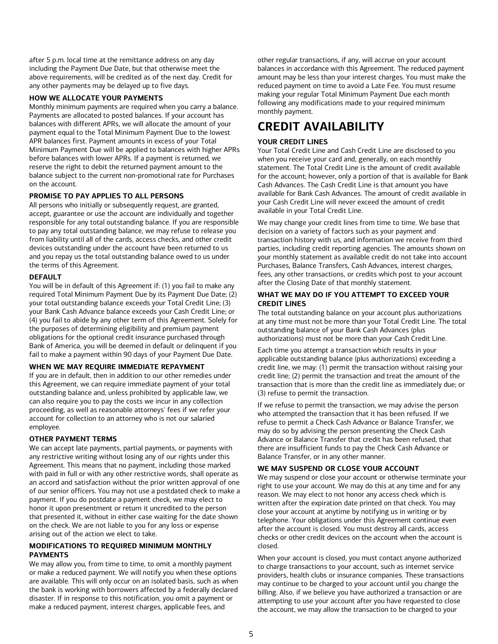after 5 p.m. local time at the remittance address on any day including the Payment Due Date, but that otherwise meet the above requirements, will be credited as of the next day. Credit for any other payments may be delayed up to five days.

## **HOW WE ALLOCATE YOUR PAYMENTS**

Monthly minimum payments are required when you carry a balance. Payments are allocated to posted balances. If your account has balances with different APRs, we will allocate the amount of your payment equal to the Total Minimum Payment Due to the lowest APR balances first. Payment amounts in excess of your Total Minimum Payment Due will be applied to balances with higher APRs before balances with lower APRs. If a payment is returned, we reserve the right to debit the returned payment amount to the balance subject to the current non-promotional rate for Purchases on the account.

## **PROMISE TO PAY APPLIES TO ALL PERSONS**

All persons who initially or subsequently request, are granted, accept, guarantee or use the account are individually and together responsible for any total outstanding balance. If you are responsible to pay any total outstanding balance, we may refuse to release you from liability until all of the cards, access checks, and other credit devices outstanding under the account have been returned to us and you repay us the total outstanding balance owed to us under the terms of this Agreement.

#### **DEFAULT**

You will be in default of this Agreement if: (1) you fail to make any required Total Minimum Payment Due by its Payment Due Date; (2) your total outstanding balance exceeds your Total Credit Line; (3) your Bank Cash Advance balance exceeds your Cash Credit Line; or (4) you fail to abide by any other term of this Agreement. Solely for the purposes of determining eligibility and premium payment obligations for the optional credit insurance purchased through Bank of America, you will be deemed in default or delinquent if you fail to make a payment within 90 days of your Payment Due Date.

#### **WHEN WE MAY REQUIRE IMMEDIATE REPAYMENT**

If you are in default, then in addition to our other remedies under this Agreement, we can require immediate payment of your total outstanding balance and, unless prohibited by applicable law, we can also require you to pay the costs we incur in any collection proceeding, as well as reasonable attorneys' fees if we refer your account for collection to an attorney who is not our salaried employee.

#### **OTHER PAYMENT TERMS**

We can accept late payments, partial payments, or payments with any restrictive writing without losing any of our rights under this Agreement. This means that no payment, including those marked with paid in full or with any other restrictive words, shall operate as an accord and satisfaction without the prior written approval of one of our senior officers. You may not use a postdated check to make a payment. If you do postdate a payment check, we may elect to honor it upon presentment or return it uncredited to the person that presented it, without in either case waiting for the date shown on the check. We are not liable to you for any loss or expense arising out of the action we elect to take.

#### **MODIFICATIONS TO REQUIRED MINIMUM MONTHLY PAYMENTS**

We may allow you, from time to time, to omit a monthly payment or make a reduced payment. We will notify you when these options are available. This will only occur on an isolated basis, such as when the bank is working with borrowers affected by a federally declared disaster. If in response to this notification, you omit a payment or make a reduced payment, interest charges, applicable fees, and

other regular transactions, if any, will accrue on your account balances in accordance with this Agreement. The reduced payment amount may be less than your interest charges. You must make the reduced payment on time to avoid a Late Fee. You must resume making your regular Total Minimum Payment Due each month following any modifications made to your required minimum monthly payment.

## **CREDIT AVAILABILITY**

#### **YOUR CREDIT LINES**

Your Total Credit Line and Cash Credit Line are disclosed to you when you receive your card and, generally, on each monthly statement. The Total Credit Line is the amount of credit available for the account; however, only a portion of that is available for Bank Cash Advances. The Cash Credit Line is that amount you have available for Bank Cash Advances. The amount of credit available in your Cash Credit Line will never exceed the amount of credit available in your Total Credit Line.

We may change your credit lines from time to time. We base that decision on a variety of factors such as your payment and transaction history with us, and information we receive from third parties, including credit reporting agencies. The amounts shown on your monthly statement as available credit do not take into account Purchases, Balance Transfers, Cash Advances, interest charges, fees, any other transactions, or credits which post to your account after the Closing Date of that monthly statement.

#### **WHAT WE MAY DO IF YOU ATTEMPT TO EXCEED YOUR CREDIT LINES**

The total outstanding balance on your account plus authorizations at any time must not be more than your Total Credit Line. The total outstanding balance of your Bank Cash Advances (plus authorizations) must not be more than your Cash Credit Line.

Each time you attempt a transaction which results in your applicable outstanding balance (plus authorizations) exceeding a credit line, we may: (1) permit the transaction without raising your credit line; (2) permit the transaction and treat the amount of the transaction that is more than the credit line as immediately due; or (3) refuse to permit the transaction.

If we refuse to permit the transaction, we may advise the person who attempted the transaction that it has been refused. If we refuse to permit a Check Cash Advance or Balance Transfer, we may do so by advising the person presenting the Check Cash Advance or Balance Transfer that credit has been refused, that there are insufficient funds to pay the Check Cash Advance or Balance Transfer, or in any other manner.

#### **WE MAY SUSPEND OR CLOSE YOUR ACCOUNT**

We may suspend or close your account or otherwise terminate your right to use your account. We may do this at any time and for any reason. We may elect to not honor any access check which is written after the expiration date printed on that check. You may close your account at anytime by notifying us in writing or by telephone. Your obligations under this Agreement continue even after the account is closed. You must destroy all cards, access checks or other credit devices on the account when the account is closed.

When your account is closed, you must contact anyone authorized to charge transactions to your account, such as internet service providers, health clubs or insurance companies. These transactions may continue to be charged to your account until you change the billing. Also, if we believe you have authorized a transaction or are attempting to use your account after you have requested to close the account, we may allow the transaction to be charged to your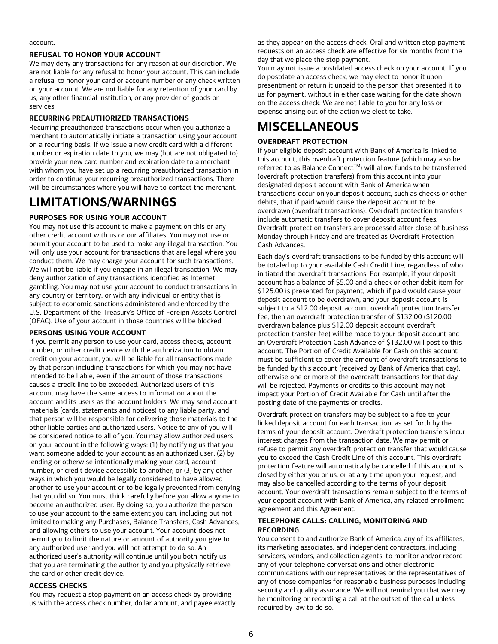#### account.

### **REFUSAL TO HONOR YOUR ACCOUNT**

We may deny any transactions for any reason at our discretion. We are not liable for any refusal to honor your account. This can include a refusal to honor your card or account number or any check written on your account. We are not liable for any retention of your card by us, any other financial institution, or any provider of goods or services.

### **RECURRING PREAUTHORIZED TRANSACTIONS**

Recurring preauthorized transactions occur when you authorize a merchant to automatically initiate a transaction using your account on a recurring basis. If we issue a new credit card with a different number or expiration date to you, we may (but are not obligated to) provide your new card number and expiration date to a merchant with whom you have set up a recurring preauthorized transaction in order to continue your recurring preauthorized transactions. There will be circumstances where you will have to contact the merchant.

## **LIMITATIONS/WARNINGS**

## **PURPOSES FOR USING YOUR ACCOUNT**

You may not use this account to make a payment on this or any other credit account with us or our affiliates. You may not use or permit your account to be used to make any illegal transaction. You will only use your account for transactions that are legal where you conduct them. We may charge your account for such transactions. We will not be liable if you engage in an illegal transaction. We may deny authorization of any transactions identified as Internet gambling. You may not use your account to conduct transactions in any country or territory, or with any individual or entity that is subject to economic sanctions administered and enforced by the U.S. Department of the Treasury's Office of Foreign Assets Control (OFAC). Use of your account in those countries will be blocked.

## **PERSONS USING YOUR ACCOUNT**

If you permit any person to use your card, access checks, account number, or other credit device with the authorization to obtain credit on your account, you will be liable for all transactions made by that person including transactions for which you may not have intended to be liable, even if the amount of those transactions causes a credit line to be exceeded. Authorized users of this account may have the same access to information about the account and its users as the account holders. We may send account materials (cards, statements and notices) to any liable party, and that person will be responsible for delivering those materials to the other liable parties and authorized users. Notice to any of you will be considered notice to all of you. You may allow authorized users on your account in the following ways: (1) by notifying us that you want someone added to your account as an authorized user; (2) by lending or otherwise intentionally making your card, account number, or credit device accessible to another; or (3) by any other ways in which you would be legally considered to have allowed another to use your account or to be legally prevented from denying that you did so. You must think carefully before you allow anyone to become an authorized user. By doing so, you authorize the person to use your account to the same extent you can, including but not limited to making any Purchases, Balance Transfers, Cash Advances, and allowing others to use your account. Your account does not permit you to limit the nature or amount of authority you give to any authorized user and you will not attempt to do so. An authorized user's authority will continue until you both notify us that you are terminating the authority and you physically retrieve the card or other credit device.

#### **ACCESS CHECKS**

You may request a stop payment on an access check by providing us with the access check number, dollar amount, and payee exactly

as they appear on the access check. Oral and written stop payment requests on an access check are effective for six months from the day that we place the stop payment.

You may not issue a postdated access check on your account. If you do postdate an access check, we may elect to honor it upon presentment or return it unpaid to the person that presented it to us for payment, without in either case waiting for the date shown on the access check. We are not liable to you for any loss or expense arising out of the action we elect to take.

## **MISCELLANEOUS**

## **OVERDRAFT PROTECTION**

If your eligible deposit account with Bank of America is linked to this account, this overdraft protection feature (which may also be referred to as Balance Connect™) will allow funds to be transferred (overdraft protection transfers) from this account into your designated deposit account with Bank of America when transactions occur on your deposit account, such as checks or other debits, that if paid would cause the deposit account to be overdrawn (overdraft transactions). Overdraft protection transfers include automatic transfers to cover deposit account fees. Overdraft protection transfers are processed after close of business Monday through Friday and are treated as Overdraft Protection Cash Advances.

Each day's overdraft transactions to be funded by this account will be totaled up to your available Cash Credit Line, regardless of who initiated the overdraft transactions. For example, if your deposit account has a balance of \$5.00 and a check or other debit item for \$125.00 is presented for payment, which if paid would cause your deposit account to be overdrawn, and your deposit account is subject to a \$12.00 deposit account overdraft protection transfer fee, then an overdraft protection transfer of \$132.00 (\$120.00 overdrawn balance plus \$12.00 deposit account overdraft protection transfer fee) will be made to your deposit account and an Overdraft Protection Cash Advance of \$132.00 will post to this account. The Portion of Credit Available for Cash on this account must be sufficient to cover the amount of overdraft transactions to be funded by this account (received by Bank of America that day); otherwise one or more of the overdraft transactions for that day will be rejected. Payments or credits to this account may not impact your Portion of Credit Available for Cash until after the posting date of the payments or credits.

Overdraft protection transfers may be subject to a fee to your linked deposit account for each transaction, as set forth by the terms of your deposit account. Overdraft protection transfers incur interest charges from the transaction date. We may permit or refuse to permit any overdraft protection transfer that would cause you to exceed the Cash Credit Line of this account. This overdraft protection feature will automatically be cancelled if this account is closed by either you or us, or at any time upon your request, and may also be cancelled according to the terms of your deposit account. Your overdraft transactions remain subject to the terms of your deposit account with Bank of America, any related enrollment agreement and this Agreement.

#### **TELEPHONE CALLS: CALLING, MONITORING AND RECORDING**

You consent to and authorize Bank of America, any of its affiliates, its marketing associates, and independent contractors, including servicers, vendors, and collection agents, to monitor and/or record any of your telephone conversations and other electronic communications with our representatives or the representatives of any of those companies for reasonable business purposes including security and quality assurance. We will not remind you that we may be monitoring or recording a call at the outset of the call unless required by law to do so.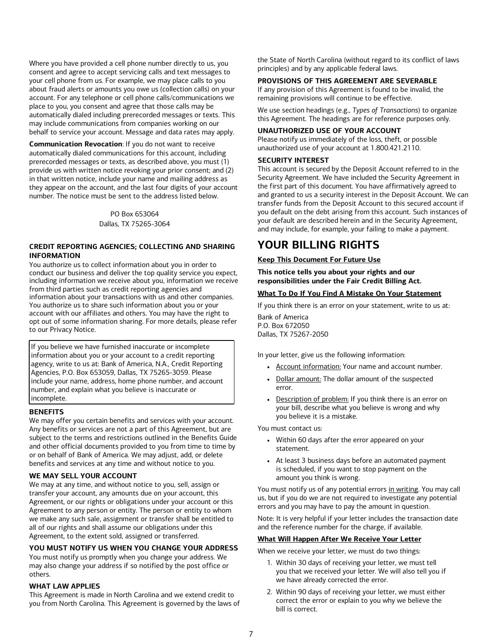Where you have provided a cell phone number directly to us, you consent and agree to accept servicing calls and text messages to your cell phone from us. For example, we may place calls to you about fraud alerts or amounts you owe us (collection calls) on your account. For any telephone or cell phone calls/communications we place to you, you consent and agree that those calls may be automatically dialed including prerecorded messages or texts. This may include communications from companies working on our behalf to service your account. Message and data rates may apply.

**Communication Revocation**: If you do not want to receive automatically dialed communications for this account, including prerecorded messages or texts, as described above, you must (1) provide us with written notice revoking your prior consent; and (2) in that written notice, include your name and mailing address as they appear on the account, and the last four digits of your account number. The notice must be sent to the address listed below.

> PO Box 653064 Dallas, TX 75265-3064

## **CREDIT REPORTING AGENCIES; COLLECTING AND SHARING INFORMATION**

You authorize us to collect information about you in order to conduct our business and deliver the top quality service you expect, including information we receive about you, information we receive from third parties such as credit reporting agencies and information about your transactions with us and other companies. You authorize us to share such information about you or your account with our affiliates and others. You may have the right to opt out of some information sharing. For more details, please refer to our Privacy Notice.

If you believe we have furnished inaccurate or incomplete information about you or your account to <sup>a</sup> credit reporting agency, write to us at: Bank of America, N.A., Credit Reporting Agencies, P.O. Box 653059, Dallas, TX 75265-3059. Please include your name, address, home phone number, and account number, and explain what you believe is inaccurate or incomplete.

## **BENEFITS**

We may offer you certain benefits and services with your account. Any benefits or services are not a part of this Agreement, but are subject to the terms and restrictions outlined in the Benefits Guide and other official documents provided to you from time to time by or on behalf of Bank of America. We may adjust, add, or delete benefits and services at any time and without notice to you.

#### **WE MAY SELL YOUR ACCOUNT**

We may at any time, and without notice to you, sell, assign or transfer your account, any amounts due on your account, this Agreement, or our rights or obligations under your account or this Agreement to any person or entity. The person or entity to whom we make any such sale, assignment or transfer shall be entitled to all of our rights and shall assume our obligations under this Agreement, to the extent sold, assigned or transferred.

## **YOU MUST NOTIFY US WHEN YOU CHANGE YOUR ADDRESS**

You must notify us promptly when you change your address. We may also change your address if so notified by the post office or others.

## **WHAT LAW APPLIES**

This Agreement is made in North Carolina and we extend credit to you from North Carolina. This Agreement is governed by the laws of the State of North Carolina (without regard to its conflict of laws principles) and by any applicable federal laws.

## **PROVISIONS OF THIS AGREEMENT ARE SEVERABLE**

If any provision of this Agreement is found to be invalid, the remaining provisions will continue to be effective.

We use section headings (e.g., *Types of Transactions*) to organize this Agreement. The headings are for reference purposes only.

#### **UNAUTHORIZED USE OF YOUR ACCOUNT**

Please notify us immediately of the loss, theft, or possible unauthorized use of your account at 1.800.421.2110.

#### **SECURITY INTEREST**

This account is secured by the Deposit Account referred to in the Security Agreement. We have included the Security Agreement in the first part of this document. You have affirmatively agreed to and granted to us a security interest in the Deposit Account. We can transfer funds from the Deposit Account to this secured account if you default on the debt arising from this account. Such instances of your default are described herein and in the Security Agreement, and may include, for example, your failing to make a payment.

## **YOUR BILLING RIGHTS**

## **Keep This Document For Future Use**

**This notice tells you about your rights and our responsibilities under the Fair Credit Billing Act.**

## **What To Do If You Find A Mistake On Your Statement**

If you think there is an error on your statement, write to us at:

Bank of America P.O. Box 672050 Dallas, TX 75267-2050

In your letter, give us the following information:

- **•** Account information: Your name and account number.
- Dollar amount: The dollar amount of the suspected error.
- **•** Description of problem: If you think there is an error on your bill, describe what you believe is wrong and why you believe it is <sup>a</sup> mistake.

You must contact us:

- **•** Within <sup>60</sup> days after the error appeared on your statement.
- **•** At least 3 business days before an automated payment is scheduled, if you want to stop payment on the amount you think is wrong.

You must notify us of any potential errors in writing. You may call us, but if you do we are not required to investigate any potential errors and you may have to pay the amount in question.

Note: It is very helpful if your letter includes the transaction date and the reference number for the charge, if available.

## **What Will Happen After We Receive Your Letter**

When we receive your letter, we must do two things:

- 1. Within <sup>30</sup> days of receiving your letter, we must tell you that we received your letter. We will also tell you if we have already corrected the error.
- 2. Within <sup>90</sup> days of receiving your letter, we must either correct the error or explain to you why we believe the bill is correct.